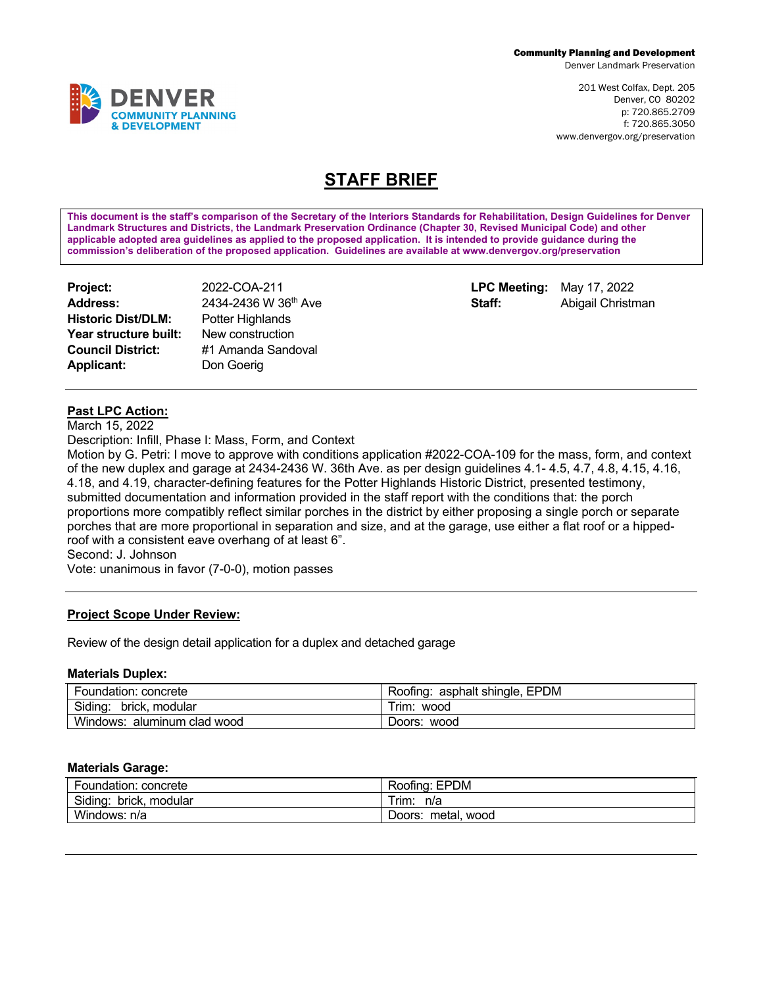Denver Landmark Preservation

201 West Colfax, Dept. 205 Denver, CO 80202 p: 720.865.2709 f: 720.865.3050 www.denvergov.org/preservation

# **STAFF BRIEF**

**This document is the staff's comparison of the Secretary of the Interiors Standards for Rehabilitation, Design Guidelines for Denver Landmark Structures and Districts, the Landmark Preservation Ordinance (Chapter 30, Revised Municipal Code) and other applicable adopted area guidelines as applied to the proposed application. It is intended to provide guidance during the commission's deliberation of the proposed application. Guidelines are available at www.denvergov.org/preservation**

| Project:                  | 2022-COA-2   |
|---------------------------|--------------|
| <b>Address:</b>           | 2434-2436    |
| <b>Historic Dist/DLM:</b> | Potter Highl |
| Year structure built:     | New constru  |
| <b>Council District:</b>  | #1 Amanda    |
| <b>Applicant:</b>         | Don Goerig   |

**Project:** 2022-COA-211 **LPC Meeting:** May 17, 2022 **Address:** 2434-2436 W 36th Ave **Staff:** Abigail Christman **Potter Highlands New construction Council District:** #1 Amanda Sandoval

## **Past LPC Action:**

March 15, 2022

Description: Infill, Phase I: Mass, Form, and Context

Motion by G. Petri: I move to approve with conditions application #2022-COA-109 for the mass, form, and context of the new duplex and garage at 2434-2436 W. 36th Ave. as per design guidelines 4.1- 4.5, 4.7, 4.8, 4.15, 4.16, 4.18, and 4.19, character-defining features for the Potter Highlands Historic District, presented testimony, submitted documentation and information provided in the staff report with the conditions that: the porch proportions more compatibly reflect similar porches in the district by either proposing a single porch or separate porches that are more proportional in separation and size, and at the garage, use either a flat roof or a hippedroof with a consistent eave overhang of at least 6".

Second: J. Johnson

Vote: unanimous in favor (7-0-0), motion passes

#### **Project Scope Under Review:**

Review of the design detail application for a duplex and detached garage

#### **Materials Duplex:**

| Foundation:<br>concrete           | <b>EPDM</b><br>asphalt shingle.<br>Roofing: |
|-----------------------------------|---------------------------------------------|
| Siding.<br>modular<br>brick.      | $\overline{\phantom{0}}$<br>' rım.<br>wood  |
| Windows:<br>aluminum clad<br>wood | wood<br>Doors:                              |

#### **Materials Garage:**

| Foundation: concrete      | Roofing: EPDM         |
|---------------------------|-----------------------|
| Siding:<br>brick. modular | ' rim:<br>n/a         |
| Windows: n/a              | metal, wood<br>Doors: |

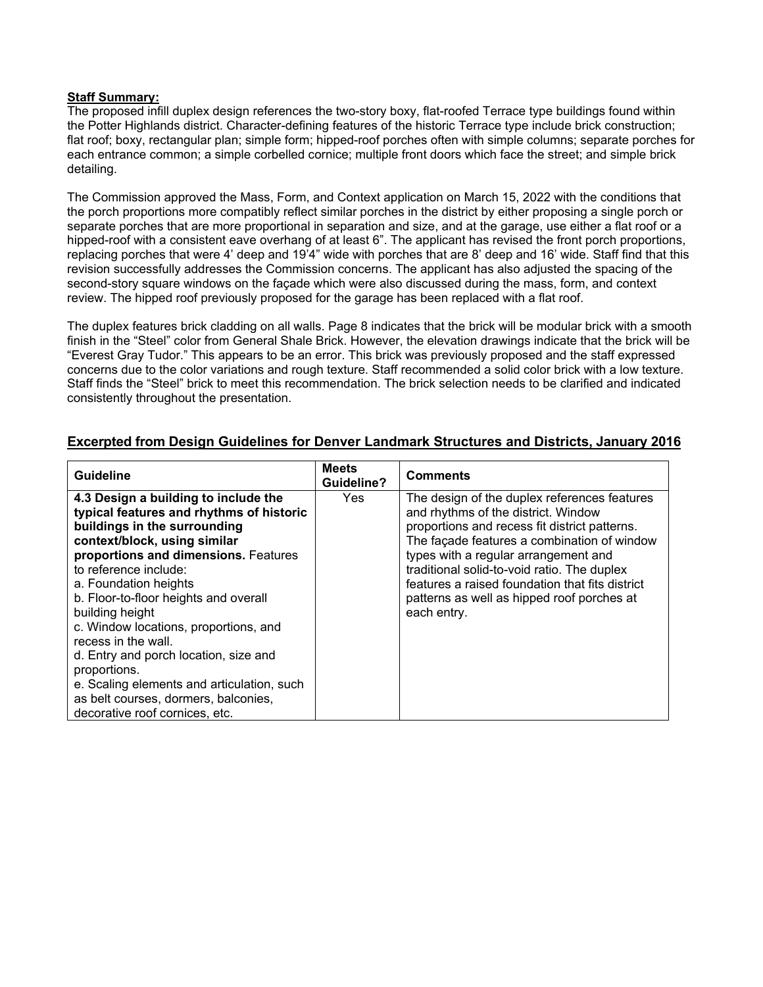#### **Staff Summary:**

The proposed infill duplex design references the two-story boxy, flat-roofed Terrace type buildings found within the Potter Highlands district. Character-defining features of the historic Terrace type include brick construction; flat roof; boxy, rectangular plan; simple form; hipped-roof porches often with simple columns; separate porches for each entrance common; a simple corbelled cornice; multiple front doors which face the street; and simple brick detailing.

The Commission approved the Mass, Form, and Context application on March 15, 2022 with the conditions that the porch proportions more compatibly reflect similar porches in the district by either proposing a single porch or separate porches that are more proportional in separation and size, and at the garage, use either a flat roof or a hipped-roof with a consistent eave overhang of at least 6". The applicant has revised the front porch proportions, replacing porches that were 4' deep and 19'4" wide with porches that are 8' deep and 16' wide. Staff find that this revision successfully addresses the Commission concerns. The applicant has also adjusted the spacing of the second-story square windows on the façade which were also discussed during the mass, form, and context review. The hipped roof previously proposed for the garage has been replaced with a flat roof.

The duplex features brick cladding on all walls. Page 8 indicates that the brick will be modular brick with a smooth finish in the "Steel" color from General Shale Brick. However, the elevation drawings indicate that the brick will be "Everest Gray Tudor." This appears to be an error. This brick was previously proposed and the staff expressed concerns due to the color variations and rough texture. Staff recommended a solid color brick with a low texture. Staff finds the "Steel" brick to meet this recommendation. The brick selection needs to be clarified and indicated consistently throughout the presentation.

| <b>Guideline</b>                                                                                                                                                                                                                                                                                                                                                                                                                                                                                                                                        | <b>Meets</b><br><b>Guideline?</b> | <b>Comments</b>                                                                                                                                                                                                                                                                                                                                                                            |
|---------------------------------------------------------------------------------------------------------------------------------------------------------------------------------------------------------------------------------------------------------------------------------------------------------------------------------------------------------------------------------------------------------------------------------------------------------------------------------------------------------------------------------------------------------|-----------------------------------|--------------------------------------------------------------------------------------------------------------------------------------------------------------------------------------------------------------------------------------------------------------------------------------------------------------------------------------------------------------------------------------------|
| 4.3 Design a building to include the<br>typical features and rhythms of historic<br>buildings in the surrounding<br>context/block, using similar<br>proportions and dimensions. Features<br>to reference include:<br>a. Foundation heights<br>b. Floor-to-floor heights and overall<br>building height<br>c. Window locations, proportions, and<br>recess in the wall.<br>d. Entry and porch location, size and<br>proportions.<br>e. Scaling elements and articulation, such<br>as belt courses, dormers, balconies,<br>decorative roof cornices, etc. | Yes.                              | The design of the duplex references features<br>and rhythms of the district. Window<br>proportions and recess fit district patterns.<br>The façade features a combination of window<br>types with a regular arrangement and<br>traditional solid-to-void ratio. The duplex<br>features a raised foundation that fits district<br>patterns as well as hipped roof porches at<br>each entry. |

## **Excerpted from Design Guidelines for Denver Landmark Structures and Districts, January 2016**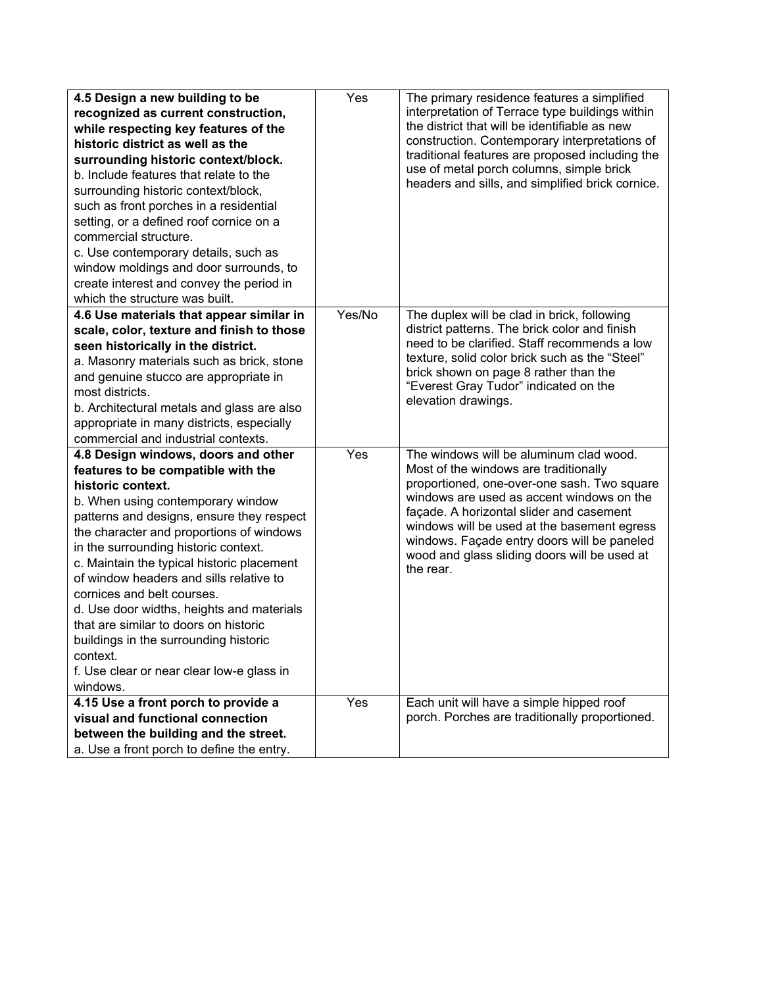| 4.5 Design a new building to be                                                   | Yes    | The primary residence features a simplified                                           |
|-----------------------------------------------------------------------------------|--------|---------------------------------------------------------------------------------------|
| recognized as current construction,                                               |        | interpretation of Terrace type buildings within                                       |
| while respecting key features of the                                              |        | the district that will be identifiable as new                                         |
| historic district as well as the                                                  |        | construction. Contemporary interpretations of                                         |
| surrounding historic context/block.                                               |        | traditional features are proposed including the                                       |
| b. Include features that relate to the                                            |        | use of metal porch columns, simple brick                                              |
| surrounding historic context/block,                                               |        | headers and sills, and simplified brick cornice.                                      |
| such as front porches in a residential                                            |        |                                                                                       |
| setting, or a defined roof cornice on a                                           |        |                                                                                       |
| commercial structure.                                                             |        |                                                                                       |
| c. Use contemporary details, such as                                              |        |                                                                                       |
| window moldings and door surrounds, to                                            |        |                                                                                       |
| create interest and convey the period in                                          |        |                                                                                       |
| which the structure was built.                                                    |        |                                                                                       |
| 4.6 Use materials that appear similar in                                          | Yes/No | The duplex will be clad in brick, following                                           |
| scale, color, texture and finish to those                                         |        | district patterns. The brick color and finish                                         |
| seen historically in the district.                                                |        | need to be clarified. Staff recommends a low                                          |
| a. Masonry materials such as brick, stone                                         |        | texture, solid color brick such as the "Steel"                                        |
| and genuine stucco are appropriate in                                             |        | brick shown on page 8 rather than the                                                 |
| most districts.                                                                   |        | "Everest Gray Tudor" indicated on the<br>elevation drawings.                          |
| b. Architectural metals and glass are also                                        |        |                                                                                       |
| appropriate in many districts, especially                                         |        |                                                                                       |
| commercial and industrial contexts.                                               |        |                                                                                       |
| 4.8 Design windows, doors and other                                               | Yes    | The windows will be aluminum clad wood.                                               |
| features to be compatible with the                                                |        | Most of the windows are traditionally                                                 |
| historic context.                                                                 |        | proportioned, one-over-one sash. Two square                                           |
| b. When using contemporary window                                                 |        | windows are used as accent windows on the<br>façade. A horizontal slider and casement |
| patterns and designs, ensure they respect                                         |        | windows will be used at the basement egress                                           |
| the character and proportions of windows                                          |        | windows. Façade entry doors will be paneled                                           |
| in the surrounding historic context.                                              |        | wood and glass sliding doors will be used at                                          |
| c. Maintain the typical historic placement                                        |        | the rear.                                                                             |
| of window headers and sills relative to                                           |        |                                                                                       |
| cornices and belt courses.                                                        |        |                                                                                       |
| d. Use door widths, heights and materials                                         |        |                                                                                       |
| that are similar to doors on historic                                             |        |                                                                                       |
| buildings in the surrounding historic                                             |        |                                                                                       |
| context.                                                                          |        |                                                                                       |
| f. Use clear or near clear low-e glass in                                         |        |                                                                                       |
| windows.                                                                          |        |                                                                                       |
| 4.15 Use a front porch to provide a                                               | Yes    | Each unit will have a simple hipped roof                                              |
| visual and functional connection                                                  |        | porch. Porches are traditionally proportioned.                                        |
| between the building and the street.<br>a. Use a front porch to define the entry. |        |                                                                                       |
|                                                                                   |        |                                                                                       |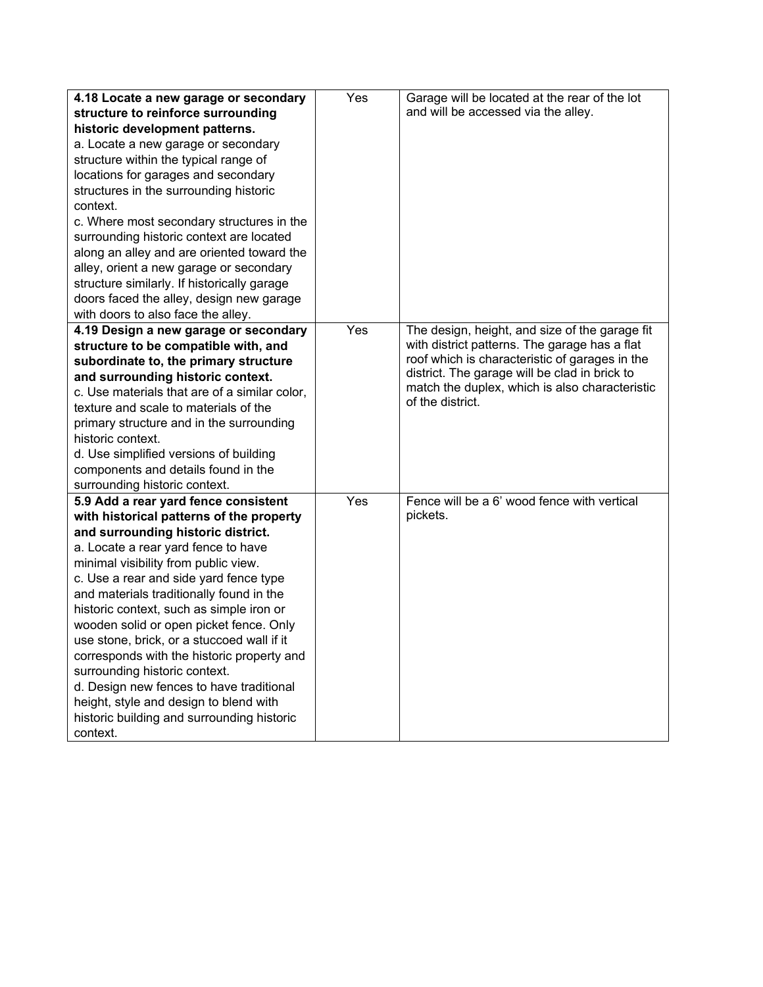| 4.18 Locate a new garage or secondary         | Yes | Garage will be located at the rear of the lot                      |
|-----------------------------------------------|-----|--------------------------------------------------------------------|
| structure to reinforce surrounding            |     | and will be accessed via the alley.                                |
| historic development patterns.                |     |                                                                    |
| a. Locate a new garage or secondary           |     |                                                                    |
| structure within the typical range of         |     |                                                                    |
| locations for garages and secondary           |     |                                                                    |
| structures in the surrounding historic        |     |                                                                    |
| context.                                      |     |                                                                    |
| c. Where most secondary structures in the     |     |                                                                    |
| surrounding historic context are located      |     |                                                                    |
| along an alley and are oriented toward the    |     |                                                                    |
| alley, orient a new garage or secondary       |     |                                                                    |
| structure similarly. If historically garage   |     |                                                                    |
| doors faced the alley, design new garage      |     |                                                                    |
| with doors to also face the alley.            |     |                                                                    |
| 4.19 Design a new garage or secondary         | Yes | The design, height, and size of the garage fit                     |
| structure to be compatible with, and          |     | with district patterns. The garage has a flat                      |
| subordinate to, the primary structure         |     | roof which is characteristic of garages in the                     |
| and surrounding historic context.             |     | district. The garage will be clad in brick to                      |
| c. Use materials that are of a similar color, |     | match the duplex, which is also characteristic<br>of the district. |
| texture and scale to materials of the         |     |                                                                    |
| primary structure and in the surrounding      |     |                                                                    |
| historic context.                             |     |                                                                    |
| d. Use simplified versions of building        |     |                                                                    |
| components and details found in the           |     |                                                                    |
| surrounding historic context.                 |     |                                                                    |
| 5.9 Add a rear yard fence consistent          | Yes | Fence will be a 6' wood fence with vertical                        |
| with historical patterns of the property      |     | pickets.                                                           |
| and surrounding historic district.            |     |                                                                    |
| a. Locate a rear yard fence to have           |     |                                                                    |
| minimal visibility from public view.          |     |                                                                    |
| c. Use a rear and side yard fence type        |     |                                                                    |
| and materials traditionally found in the      |     |                                                                    |
| historic context, such as simple iron or      |     |                                                                    |
| wooden solid or open picket fence. Only       |     |                                                                    |
| use stone, brick, or a stuccoed wall if it    |     |                                                                    |
| corresponds with the historic property and    |     |                                                                    |
| surrounding historic context.                 |     |                                                                    |
| d. Design new fences to have traditional      |     |                                                                    |
| height, style and design to blend with        |     |                                                                    |
| historic building and surrounding historic    |     |                                                                    |
| context.                                      |     |                                                                    |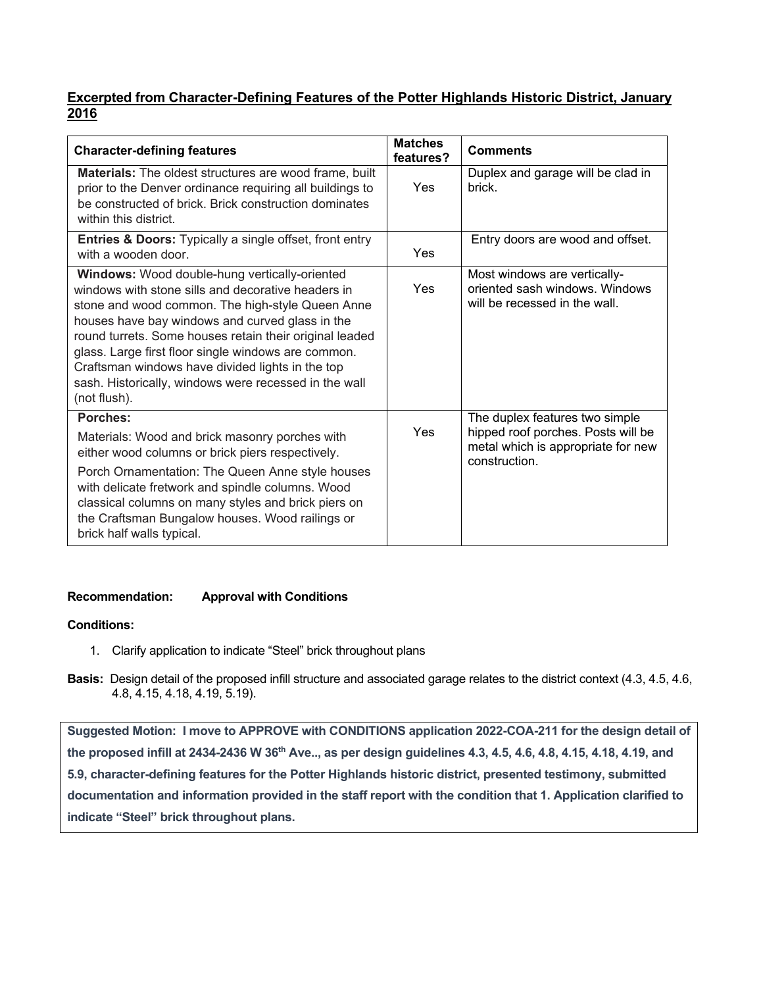# **Excerpted from Character-Defining Features of the Potter Highlands Historic District, January 2016**

| <b>Character-defining features</b>                                                                                                                                                                                                                                                                                                                                                                                                                               | <b>Matches</b><br>features? | <b>Comments</b>                                                                                                             |
|------------------------------------------------------------------------------------------------------------------------------------------------------------------------------------------------------------------------------------------------------------------------------------------------------------------------------------------------------------------------------------------------------------------------------------------------------------------|-----------------------------|-----------------------------------------------------------------------------------------------------------------------------|
| <b>Materials:</b> The oldest structures are wood frame, built<br>prior to the Denver ordinance requiring all buildings to<br>be constructed of brick. Brick construction dominates<br>within this district.                                                                                                                                                                                                                                                      | Yes                         | Duplex and garage will be clad in<br>brick.                                                                                 |
| <b>Entries &amp; Doors:</b> Typically a single offset, front entry<br>with a wooden door.                                                                                                                                                                                                                                                                                                                                                                        | Yes                         | Entry doors are wood and offset.                                                                                            |
| <b>Windows:</b> Wood double-hung vertically-oriented<br>windows with stone sills and decorative headers in<br>stone and wood common. The high-style Queen Anne<br>houses have bay windows and curved glass in the<br>round turrets. Some houses retain their original leaded<br>glass. Large first floor single windows are common.<br>Craftsman windows have divided lights in the top<br>sash. Historically, windows were recessed in the wall<br>(not flush). | Yes                         | Most windows are vertically-<br>oriented sash windows. Windows<br>will be recessed in the wall.                             |
| <b>Porches:</b><br>Materials: Wood and brick masonry porches with<br>either wood columns or brick piers respectively.<br>Porch Ornamentation: The Queen Anne style houses<br>with delicate fretwork and spindle columns. Wood<br>classical columns on many styles and brick piers on<br>the Craftsman Bungalow houses. Wood railings or<br>brick half walls typical.                                                                                             | Yes                         | The duplex features two simple<br>hipped roof porches. Posts will be<br>metal which is appropriate for new<br>construction. |

# **Recommendation: Approval with Conditions**

## **Conditions:**

- 1. Clarify application to indicate "Steel" brick throughout plans
- **Basis:** Design detail of the proposed infill structure and associated garage relates to the district context (4.3, 4.5, 4.6, 4.8, 4.15, 4.18, 4.19, 5.19).

**Suggested Motion: I move to APPROVE with CONDITIONS application 2022-COA-211 for the design detail of the proposed infill at 2434-2436 W 36th Ave.., as per design guidelines 4.3, 4.5, 4.6, 4.8, 4.15, 4.18, 4.19, and 5.9, character-defining features for the Potter Highlands historic district, presented testimony, submitted documentation and information provided in the staff report with the condition that 1. Application clarified to indicate "Steel" brick throughout plans.**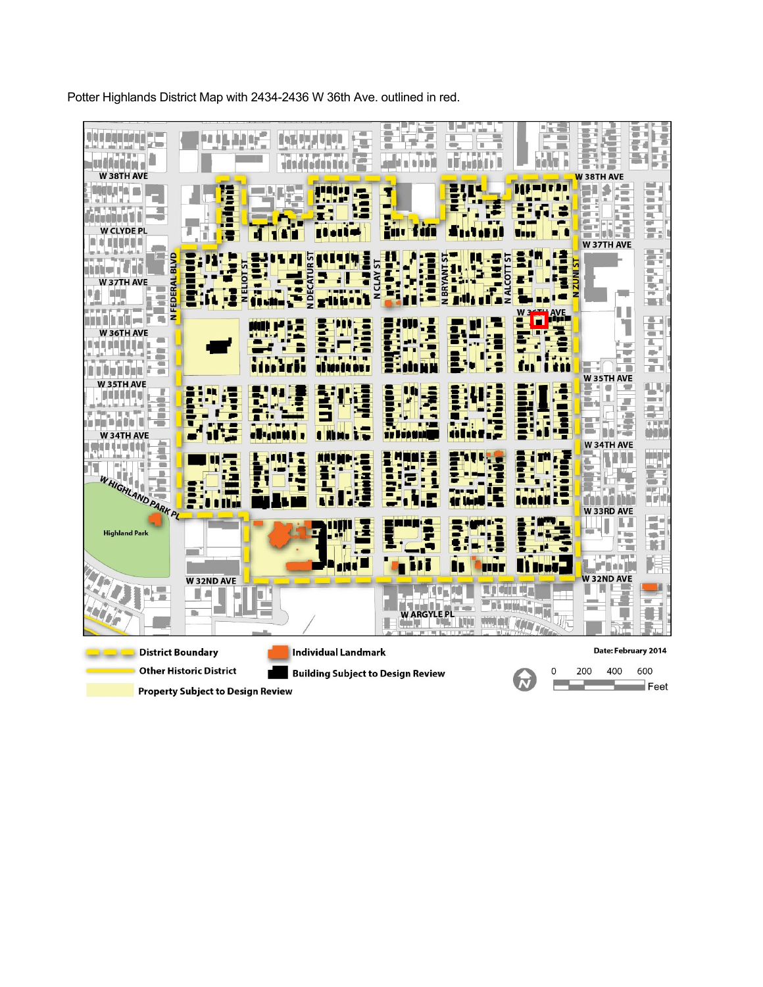Potter Highlands District Map with 2434-2436 W 36th Ave. outlined in red.



**Property Subject to Design Review**